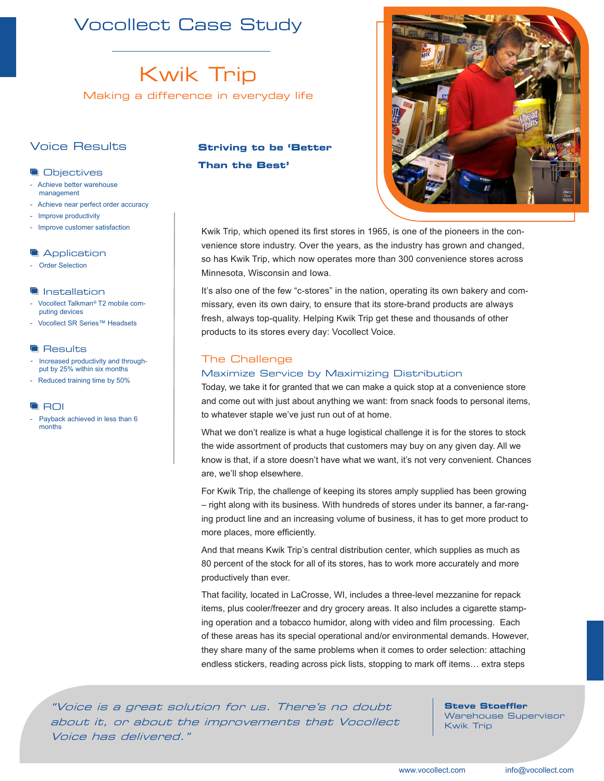# Vocollect Case Study

Kwik Trip Making a difference in everyday life

# Voice Results

### **Objectives**

- Achieve better warehouse management
- Achieve near perfect order accuracy
- Improve productivity
- Improve customer satisfaction

### **Application**

- Order Selection

#### **Installation**

- Vocollect Talkman*®* T2 mobile computing devices
- Vocollect SR Series™ Headsets

#### **Results**

- Increased productivity and throughput by 25% within six months
- Reduced training time by 50%

### **ROI**

Payback achieved in less than 6 months

# **Striving to be 'Better Than the Best'**



Kwik Trip, which opened its first stores in 1965, is one of the pioneers in the convenience store industry. Over the years, as the industry has grown and changed, so has Kwik Trip, which now operates more than 300 convenience stores across Minnesota, Wisconsin and Iowa.

It's also one of the few "c-stores" in the nation, operating its own bakery and commissary, even its own dairy, to ensure that its store-brand products are always fresh, always top-quality. Helping Kwik Trip get these and thousands of other products to its stores every day: Vocollect Voice.

## The Challenge

### Maximize Service by Maximizing Distribution

Today, we take it for granted that we can make a quick stop at a convenience store and come out with just about anything we want: from snack foods to personal items, to whatever staple we've just run out of at home.

What we don't realize is what a huge logistical challenge it is for the stores to stock the wide assortment of products that customers may buy on any given day. All we know is that, if a store doesn't have what we want, it's not very convenient. Chances are, we'll shop elsewhere.

For Kwik Trip, the challenge of keeping its stores amply supplied has been growing – right along with its business. With hundreds of stores under its banner, a far-ranging product line and an increasing volume of business, it has to get more product to more places, more efficiently.

And that means Kwik Trip's central distribution center, which supplies as much as 80 percent of the stock for all of its stores, has to work more accurately and more productively than ever.

That facility, located in LaCrosse, WI, includes a three-level mezzanine for repack items, plus cooler/freezer and dry grocery areas. It also includes a cigarette stamping operation and a tobacco humidor, along with video and film processing. Each of these areas has its special operational and/or environmental demands. However, they share many of the same problems when it comes to order selection: attaching endless stickers, reading across pick lists, stopping to mark off items… extra steps

"Voice is a great solution for us. There's no doubt about it, or about the improvements that Vocollect Voice has delivered."

**Steve Stoeffler**  Warehouse Supervisor Kwik Trip